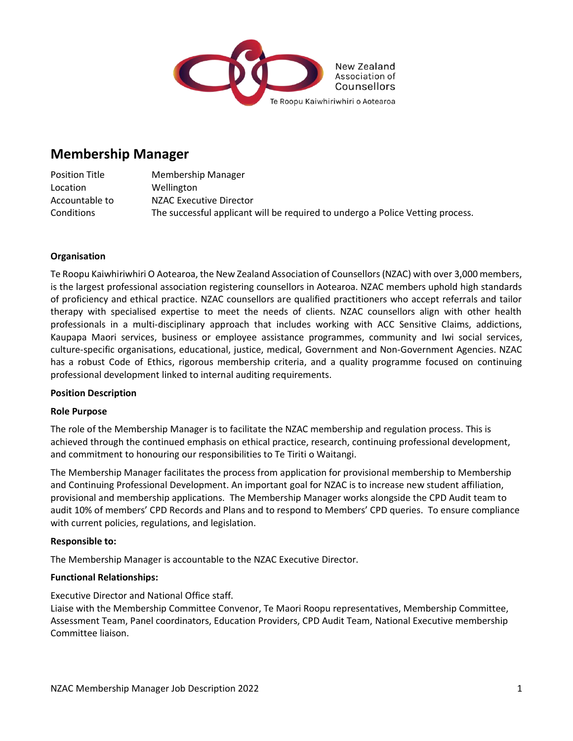

# **Membership Manager**

Position Title Membership Manager Location Wellington Accountable to NZAC Executive Director Conditions The successful applicant will be required to undergo a Police Vetting process.

### **Organisation**

Te Roopu Kaiwhiriwhiri O Aotearoa, the New Zealand Association of Counsellors (NZAC) with over 3,000 members, is the largest professional association registering counsellors in Aotearoa. NZAC members uphold high standards of proficiency and ethical practice. NZAC counsellors are qualified practitioners who accept referrals and tailor therapy with specialised expertise to meet the needs of clients. NZAC counsellors align with other health professionals in a multi-disciplinary approach that includes working with ACC Sensitive Claims, addictions, Kaupapa Maori services, business or employee assistance programmes, community and Iwi social services, culture-specific organisations, educational, justice, medical, Government and Non-Government Agencies. NZAC has a robust Code of Ethics, rigorous membership criteria, and a quality programme focused on continuing professional development linked to internal auditing requirements.

#### **Position Description**

#### **Role Purpose**

The role of the Membership Manager is to facilitate the NZAC membership and regulation process. This is achieved through the continued emphasis on ethical practice, research, continuing professional development, and commitment to honouring our responsibilities to Te Tiriti o Waitangi.

The Membership Manager facilitates the process from application for provisional membership to Membership and Continuing Professional Development. An important goal for NZAC is to increase new student affiliation, provisional and membership applications. The Membership Manager works alongside the CPD Audit team to audit 10% of members' CPD Records and Plans and to respond to Members' CPD queries. To ensure compliance with current policies, regulations, and legislation.

#### **Responsible to:**

The Membership Manager is accountable to the NZAC Executive Director.

#### **Functional Relationships:**

Executive Director and National Office staff.

Liaise with the Membership Committee Convenor, Te Maori Roopu representatives, Membership Committee, Assessment Team, Panel coordinators, Education Providers, CPD Audit Team, National Executive membership Committee liaison.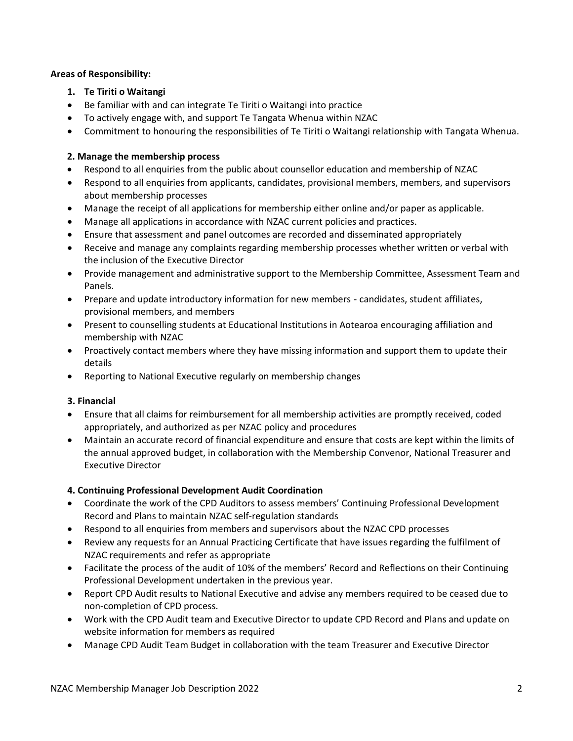#### **Areas of Responsibility:**

- **1. Te Tiriti o Waitangi**
- Be familiar with and can integrate Te Tiriti o Waitangi into practice
- To actively engage with, and support Te Tangata Whenua within NZAC
- Commitment to honouring the responsibilities of Te Tiriti o Waitangi relationship with Tangata Whenua.

## **2. Manage the membership process**

- Respond to all enquiries from the public about counsellor education and membership of NZAC
- Respond to all enquiries from applicants, candidates, provisional members, members, and supervisors about membership processes
- Manage the receipt of all applications for membership either online and/or paper as applicable.
- Manage all applications in accordance with NZAC current policies and practices.
- Ensure that assessment and panel outcomes are recorded and disseminated appropriately
- Receive and manage any complaints regarding membership processes whether written or verbal with the inclusion of the Executive Director
- Provide management and administrative support to the Membership Committee, Assessment Team and Panels.
- Prepare and update introductory information for new members candidates, student affiliates, provisional members, and members
- Present to counselling students at Educational Institutions in Aotearoa encouraging affiliation and membership with NZAC
- Proactively contact members where they have missing information and support them to update their details
- Reporting to National Executive regularly on membership changes

# **3. Financial**

- Ensure that all claims for reimbursement for all membership activities are promptly received, coded appropriately, and authorized as per NZAC policy and procedures
- Maintain an accurate record of financial expenditure and ensure that costs are kept within the limits of the annual approved budget, in collaboration with the Membership Convenor, National Treasurer and Executive Director

# **4. Continuing Professional Development Audit Coordination**

- Coordinate the work of the CPD Auditors to assess members' Continuing Professional Development Record and Plans to maintain NZAC self-regulation standards
- Respond to all enquiries from members and supervisors about the NZAC CPD processes
- Review any requests for an Annual Practicing Certificate that have issues regarding the fulfilment of NZAC requirements and refer as appropriate
- Facilitate the process of the audit of 10% of the members' Record and Reflections on their Continuing Professional Development undertaken in the previous year.
- Report CPD Audit results to National Executive and advise any members required to be ceased due to non-completion of CPD process.
- Work with the CPD Audit team and Executive Director to update CPD Record and Plans and update on website information for members as required
- Manage CPD Audit Team Budget in collaboration with the team Treasurer and Executive Director